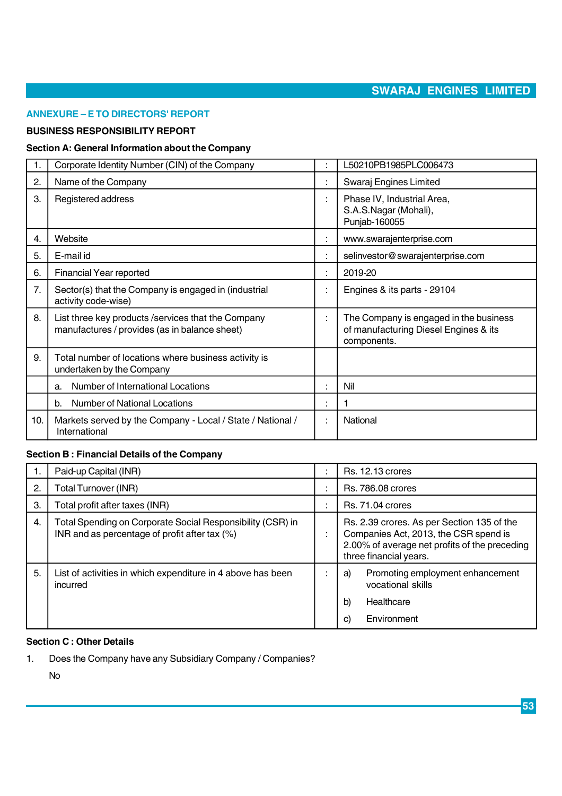#### **ANNEXURE – E TO DIRECTORS' REPORT**

#### **BUSINESS RESPONSIBILITY REPORT**

#### **Section A: General Information about the Company**

| 1.  | Corporate Identity Number (CIN) of the Company                                                       |                     | L50210PB1985PLC006473                                                                          |  |  |
|-----|------------------------------------------------------------------------------------------------------|---------------------|------------------------------------------------------------------------------------------------|--|--|
| 2.  | Name of the Company                                                                                  | t                   | Swaraj Engines Limited                                                                         |  |  |
| 3.  | Registered address                                                                                   | ÷                   | Phase IV, Industrial Area,<br>S.A.S.Nagar (Mohali),<br>Punjab-160055                           |  |  |
| 4.  | Website                                                                                              | ÷                   | www.swarajenterprise.com                                                                       |  |  |
| 5.  | E-mail id                                                                                            | ÷                   | selinvestor@swarajenterprise.com                                                               |  |  |
| 6.  | Financial Year reported                                                                              | ÷                   | 2019-20                                                                                        |  |  |
| 7.  | Sector(s) that the Company is engaged in (industrial<br>activity code-wise)                          | ÷                   | Engines & its parts - 29104                                                                    |  |  |
| 8.  | List three key products / services that the Company<br>manufactures / provides (as in balance sheet) | ÷                   | The Company is engaged in the business<br>of manufacturing Diesel Engines & its<br>components. |  |  |
| 9.  | Total number of locations where business activity is<br>undertaken by the Company                    |                     |                                                                                                |  |  |
|     | Number of International Locations<br>a.                                                              | ÷                   | Nil                                                                                            |  |  |
|     | <b>Number of National Locations</b><br>b.                                                            | ٠<br>$\blacksquare$ |                                                                                                |  |  |
| 10. | Markets served by the Company - Local / State / National /<br>International                          | ÷                   | National                                                                                       |  |  |

### **Section B : Financial Details of the Company**

| ъ. | Paid-up Capital (INR)                                                                                       | $\ddot{\phantom{a}}$           | <b>Rs. 12.13 crores</b>                                                                                                                                        |  |  |
|----|-------------------------------------------------------------------------------------------------------------|--------------------------------|----------------------------------------------------------------------------------------------------------------------------------------------------------------|--|--|
| 2. | Total Turnover (INR)                                                                                        | $\blacksquare$<br>$\mathbf{r}$ | <b>Rs. 786,08 crores</b>                                                                                                                                       |  |  |
| 3. | Total profit after taxes (INR)                                                                              | $\blacksquare$                 | <b>Rs. 71.04 crores</b>                                                                                                                                        |  |  |
| 4. | Total Spending on Corporate Social Responsibility (CSR) in<br>INR and as percentage of profit after tax (%) |                                | Rs. 2.39 crores. As per Section 135 of the<br>Companies Act, 2013, the CSR spend is<br>2.00% of average net profits of the preceding<br>three financial years. |  |  |
| 5. | List of activities in which expenditure in 4 above has been<br>incurred                                     |                                | Promoting employment enhancement<br>a)<br>vocational skills<br>Healthcare<br>b)<br>Environment<br>C)                                                           |  |  |

### **Section C : Other Details**

**1. Does the Company have any Subsidiary Company / Companies?**

**No**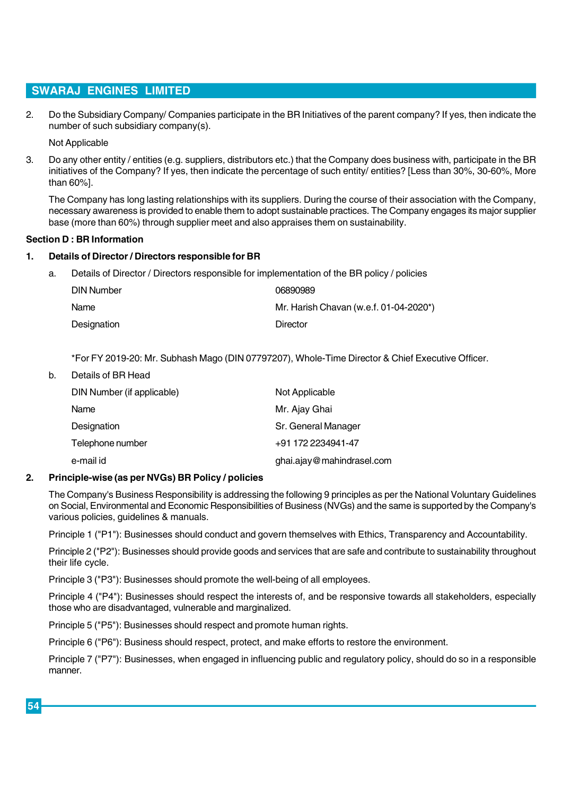**2. Do the Subsidiary Company/ Companies participate in the BR Initiatives of the parent company? If yes, then indicate the number of such subsidiary company(s).**

**Not Applicable**

**3. Do any other entity / entities (e.g. suppliers, distributors etc.) that the Company does business with, participate in the BR initiatives of the Company? If yes, then indicate the percentage of such entity/ entities? [Less than 30%, 30-60%, More than 60%].**

**The Company has long lasting relationships with its suppliers. During the course of their association with the Company, necessary awareness is provided to enable them to adopt sustainable practices. The Company engages its major supplier base (more than 60%) through supplier meet and also appraises them on sustainability.**

#### **Section D : BR Information**

#### **1. Details of Director / Directors responsible for BR**

**a. Details of Director / Directors responsible for implementation of the BR policy / policies**

| DIN Number  | 06890989                               |
|-------------|----------------------------------------|
| Name        | Mr. Harish Chavan (w.e.f. 01-04-2020*) |
| Designation | Director                               |

**\*For FY 2019-20: Mr. Subhash Mago (DIN 07797207), Whole-Time Director & Chief Executive Officer.**

**b. Details of BR Head**

| DIN Number (if applicable) | Not Applicable            |
|----------------------------|---------------------------|
| Name                       | Mr. Ajay Ghai             |
| Designation                | Sr. General Manager       |
| Telephone number           | +91 172 2234941-47        |
| e-mail id                  | ghai.ajay@mahindrasel.com |

#### **2. Principle-wise (as per NVGs) BR Policy / policies**

**The Company's Business Responsibility is addressing the following 9 principles as per the National Voluntary Guidelines on Social, Environmental and Economic Responsibilities of Business (NVGs) and the same is supported by the Company's various policies, guidelines & manuals.**

**Principle 1 ("P1"): Businesses should conduct and govern themselves with Ethics, Transparency and Accountability.**

**Principle 2 ("P2"): Businesses should provide goods and services that are safe and contribute to sustainability throughout their life cycle.**

**Principle 3 ("P3"): Businesses should promote the well-being of all employees.**

**Principle 4 ("P4"): Businesses should respect the interests of, and be responsive towards all stakeholders, especially those who are disadvantaged, vulnerable and marginalized.**

**Principle 5 ("P5"): Businesses should respect and promote human rights.**

**Principle 6 ("P6"): Business should respect, protect, and make efforts to restore the environment.**

**Principle 7 ("P7"): Businesses, when engaged in influencing public and regulatory policy, should do so in a responsible manner.**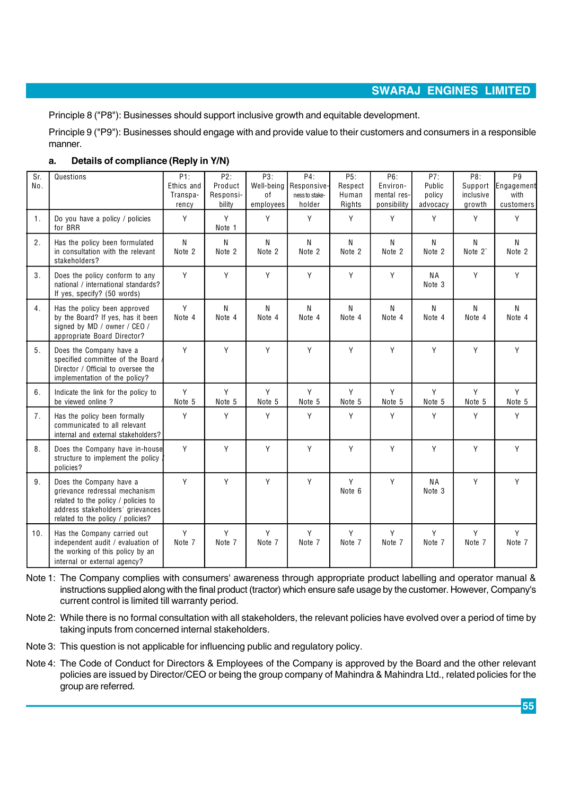**Principle 8 ("P8"): Businesses should support inclusive growth and equitable development.**

**Principle 9 ("P9"): Businesses should engage with and provide value to their customers and consumers in a responsible manner.**

| а. | Details of compliance (Reply in Y/N) |
|----|--------------------------------------|
|----|--------------------------------------|

| Sr.<br>No.     | Questions                                                                                                                                                                | P1:<br>Ethics and<br>Transpa-<br>rency | P2:<br>Product<br>Responsi-<br>bility | P3:<br>Well-being<br>0f<br>employees | P4:<br>Responsive-<br>ness to stake-<br>holder | P5:<br>Respect<br>Human<br>Rights | P6:<br>Environ-<br>mental res-<br>ponsibility | P7:<br>Public<br>policy<br>advocacy | P8:<br>Support<br>inclusive<br>growth | P9<br>Engagement<br>with<br>customers |
|----------------|--------------------------------------------------------------------------------------------------------------------------------------------------------------------------|----------------------------------------|---------------------------------------|--------------------------------------|------------------------------------------------|-----------------------------------|-----------------------------------------------|-------------------------------------|---------------------------------------|---------------------------------------|
| 1.             | Do you have a policy / policies<br>for BRR                                                                                                                               | Y                                      | Υ<br>Note 1                           | Y                                    | Y                                              | Υ                                 | Υ                                             | Y                                   | Y                                     | Y                                     |
| 2.             | Has the policy been formulated<br>in consultation with the relevant<br>stakeholders?                                                                                     | N<br>Note 2                            | N<br>Note 2                           | N<br>Note 2                          | N<br>Note 2                                    | N<br>Note 2                       | N<br>Note 2                                   | N<br>Note 2                         | N<br>Note 2`                          | $\mathsf{N}$<br>Note 2                |
| 3.             | Does the policy conform to any<br>national / international standards?<br>If yes, specify? (50 words)                                                                     | Υ                                      | Υ                                     | Y                                    | Υ                                              | Υ                                 | Y                                             | <b>NA</b><br>Note <sub>3</sub>      | Y                                     | Y                                     |
| 4.             | Has the policy been approved<br>by the Board? If yes, has it been<br>signed by MD / owner / CEO /<br>appropriate Board Director?                                         | Y<br>Note 4                            | N<br>Note 4                           | N<br>Note 4                          | N<br>Note 4                                    | N<br>Note 4                       | N<br>Note 4                                   | N<br>Note 4                         | $\mathsf{N}$<br>Note 4                | $\mathsf{N}$<br>Note 4                |
| 5 <sub>1</sub> | Does the Company have a<br>specified committee of the Board<br>Director / Official to oversee the<br>implementation of the policy?                                       | Y                                      | Υ                                     | Y                                    | Υ                                              | Υ                                 | Y                                             | Y                                   | Y                                     | Y                                     |
| 6.             | Indicate the link for the policy to<br>be viewed online?                                                                                                                 | Y<br>Note 5                            | Y<br>Note 5                           | Y<br>Note 5                          | Υ<br>Note 5                                    | Y<br>Note 5                       | Y<br>Note 5                                   | Y<br>Note 5                         | Y<br>Note 5                           | Y<br>Note 5                           |
| 7.             | Has the policy been formally<br>communicated to all relevant<br>internal and external stakeholders?                                                                      | Υ                                      | Υ                                     | Y                                    | Υ                                              | Υ                                 | Υ                                             | Y                                   | Y                                     | Y                                     |
| 8.             | Does the Company have in-house<br>structure to implement the policy<br>policies?                                                                                         | Υ                                      | Υ                                     | Y                                    | Y                                              | Υ                                 | Υ                                             | Y                                   | Y                                     | Y                                     |
| 9 <sub>1</sub> | Does the Company have a<br>grievance redressal mechanism<br>related to the policy / policies to<br>address stakeholders' grievances<br>related to the policy / policies? | Υ                                      | Y                                     | Y                                    | Y                                              | Υ<br>Note 6                       | Υ                                             | <b>NA</b><br>Note 3                 | Y                                     | Y                                     |
| 10.            | Has the Company carried out<br>independent audit / evaluation of<br>the working of this policy by an<br>internal or external agency?                                     | Υ<br>Note 7                            | Υ<br>Note 7                           | Υ<br>Note 7                          | Υ<br>Note 7                                    | Υ<br>Note 7                       | Υ<br>Note 7                                   | Y<br>Note 7                         | Y<br>Note 7                           | Y<br>Note 7                           |

**Note 1: The Company complies with consumers' awareness through appropriate product labelling and operator manual & instructions supplied along with the final product (tractor) which ensure safe usage by the customer. However, Company's current control is limited till warranty period.**

**Note 2: While there is no formal consultation with all stakeholders, the relevant policies have evolved over a period of time by taking inputs from concerned internal stakeholders.**

- **Note 3: This question is not applicable for influencing public and regulatory policy.**
- **Note 4: The Code of Conduct for Directors & Employees of the Company is approved by the Board and the other relevant policies are issued by Director/CEO or being the group company of Mahindra & Mahindra Ltd., related policies for the group are referred.**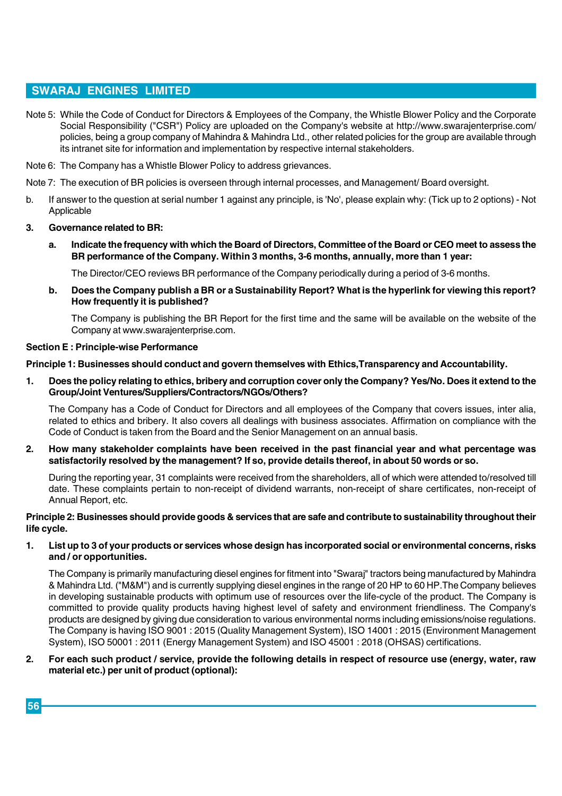- **Note 5: While the Code of Conduct for Directors & Employees of the Company, the Whistle Blower Policy and the Corporate Social Responsibility ("CSR") Policy are uploaded on the Company's website at <http://www.swarajenterprise.com/> policies, being a group company of Mahindra & Mahindra Ltd., other related policies for the group are available through its intranet site for information and implementation by respective internal stakeholders.**
- **Note 6: The Company has a Whistle Blower Policy to address grievances.**
- **Note 7: The execution of BR policies is overseen through internal processes, and Management/ Board oversight.**
- **b. If answer to the question at serial number 1 against any principle, is 'No', please explain why: (Tick up to 2 options) Not Applicable**
- **3. Governance related to BR:**
	- **a. Indicate the frequency with which the Board of Directors, Committee of the Board or CEO meet to assess the BR performance of the Company. Within 3 months, 3-6 months, annually, more than 1 year:**

**The Director/CEO reviews BR performance of the Company periodically during a period of 3-6 months.**

**b. Does the Company publish a BR or a Sustainability Report? What is the hyperlink for viewing this report? How frequently it is published?**

**The Company is publishing the BR Report for the first time and the same will be available on the website of the Company at [www.swarajenterprise.com.](http://www.swarajenterprise.com.)**

#### **Section E : Principle-wise Performance**

**Principle 1: Businesses should conduct and govern themselves with Ethics,Transparency and Accountability.**

**1. Does the policy relating to ethics, bribery and corruption cover only the Company? Yes/No. Does it extend to the Group/Joint Ventures/Suppliers/Contractors/NGOs/Others?**

**The Company has a Code of Conduct for Directors and all employees of the Company that covers issues, inter alia, related to ethics and bribery. It also covers all dealings with business associates. Affirmation on compliance with the Code of Conduct is taken from the Board and the Senior Management on an annual basis.**

**2. How many stakeholder complaints have been received in the past financial year and what percentage was satisfactorily resolved by the management? If so, provide details thereof, in about 50 words or so.**

**During the reporting year, 31 complaints were received from the shareholders, all of which were attended to/resolved till date. These complaints pertain to non-receipt of dividend warrants, non-receipt of share certificates, non-receipt of Annual Report, etc.**

**Principle 2: Businesses should provide goods & services that are safe and contribute to sustainability throughout their life cycle.**

**1. List up to 3 of your products or services whose design has incorporated social or environmental concerns, risks and / or opportunities.**

**The Company is primarily manufacturing diesel engines for fitment into "Swaraj" tractors being manufactured by Mahindra & Mahindra Ltd. ("M&M") and is currently supplying diesel engines in the range of 20 HP to 60 HP.The Company believes in developing sustainable products with optimum use of resources over the life-cycle of the product. The Company is committed to provide quality products having highest level of safety and environment friendliness. The Company's products are designed by giving due consideration to various environmental norms including emissions/noise regulations. The Company is having ISO 9001 : 2015 (Quality Management System), ISO 14001 : 2015 (Environment Management System), ISO 50001 : 2011 (Energy Management System) and ISO 45001 : 2018 (OHSAS) certifications.**

#### **2. For each such product / service, provide the following details in respect of resource use (energy, water, raw material etc.) per unit of product (optional):**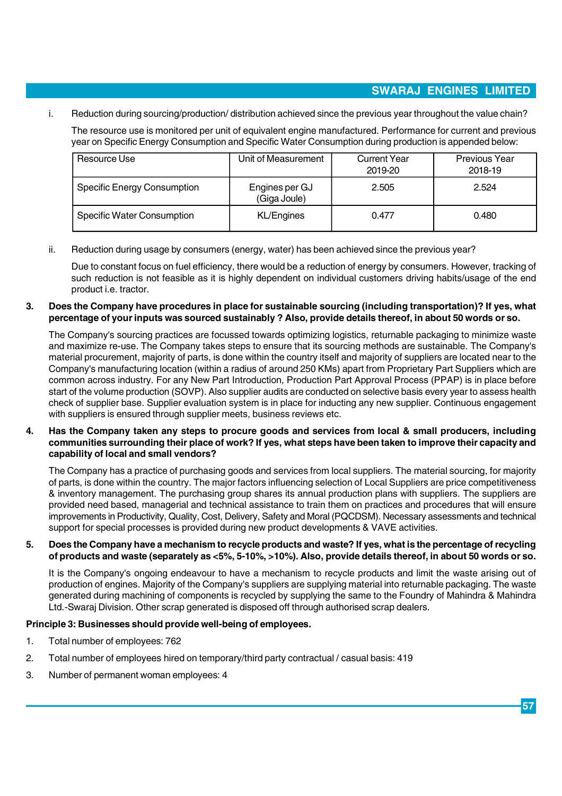**i. Reduction during sourcing/production/ distribution achieved since the previous year throughout the value chain?**

**The resource use is monitored per unit of equivalent engine manufactured. Performance for current and previous year on Specific Energy Consumption and Specific Water Consumption during production is appended below:**

| Resource Use                       | Unit of Measurement            | <b>Current Year</b><br>2019-20 | Previous Year<br>2018-19 |  |  |
|------------------------------------|--------------------------------|--------------------------------|--------------------------|--|--|
| <b>Specific Energy Consumption</b> | Engines per GJ<br>(Giga Joule) | 2.505                          | 2.524                    |  |  |
| <b>Specific Water Consumption</b>  | KL/Engines                     | 0.477                          | 0.480                    |  |  |

**ii. Reduction during usage by consumers (energy, water) has been achieved since the previous year?**

**Due to constant focus on fuel efficiency, there would be a reduction of energy by consumers. However, tracking of such reduction is not feasible as it is highly dependent on individual customers driving habits/usage of the end product i.e. tractor.**

#### **3. Does the Company have procedures in place for sustainable sourcing (including transportation)? If yes, what percentage of your inputs was sourced sustainably ? Also, provide details thereof, in about 50 words or so.**

**The Company's sourcing practices are focussed towards optimizing logistics, returnable packaging to minimize waste and maximize re-use. The Company takes steps to ensure that its sourcing methods are sustainable. The Company's material procurement, majority of parts, is done within the country itself and majority of suppliers are located near to the Company's manufacturing location (within a radius of around 250 KMs) apart from Proprietary Part Suppliers which are common across industry. For any New Part Introduction, Production Part Approval Process (PPAP) is in place before start of the volume production (SOVP). Also supplier audits are conducted on selective basis every year to assess health check of supplier base. Supplier evaluation system is in place for inducting any new supplier. Continuous engagement with suppliers is ensured through supplier meets, business reviews etc.**

#### **4. Has the Company taken any steps to procure goods and services from local & small producers, including communities surrounding their place of work? If yes, what steps have been taken to improve their capacity and capability of local and small vendors?**

**The Company has a practice of purchasing goods and services from local suppliers. The material sourcing, for majority of parts, is done within the country. The major factors influencing selection of Local Suppliers are price competitiveness & inventory management. The purchasing group shares its annual production plans with suppliers. The suppliers are provided need based, managerial and technical assistance to train them on practices and procedures that will ensure improvements in Productivity, Quality, Cost, Delivery, Safety and Moral (PQCDSM). Necessary assessments and technical support for special processes is provided during new product developments & VAVE activities.**

#### **5. Does the Company have a mechanism to recycle products and waste? If yes, what is the percentage of recycling of products and waste (separately as <5%, 5-10%, >10%). Also, provide details thereof, in about 50 words or so.**

**It is the Company's ongoing endeavour to have a mechanism to recycle products and limit the waste arising out of production of engines. Majority of the Company's suppliers are supplying material into returnable packaging. The waste generated during machining of components is recycled by supplying the same to the Foundry of Mahindra & Mahindra Ltd.-Swaraj Division. Other scrap generated is disposed off through authorised scrap dealers.**

### **Principle 3: Businesses should provide well-being of employees.**

- **1. Total number of employees: 762**
- **2. Total number of employees hired on temporary/third party contractual / casual basis: 419**
- **3. Number of permanent woman employees: 4**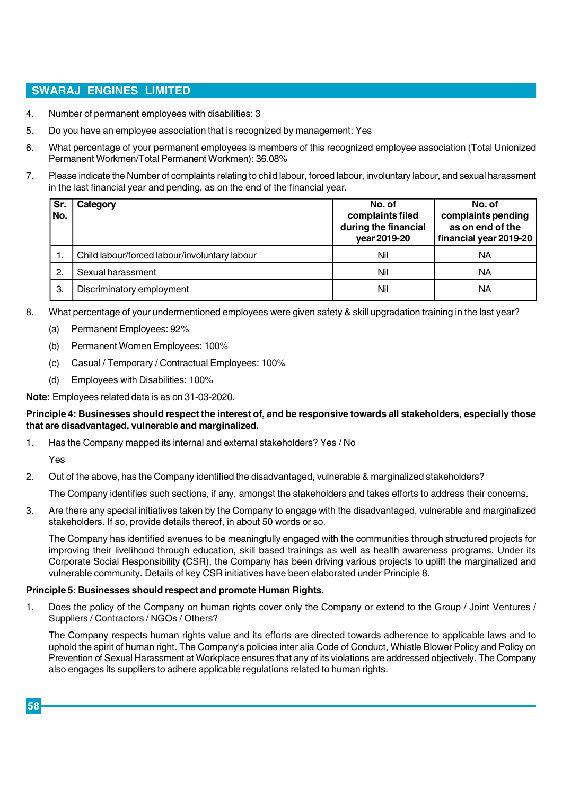- **4. Number of permanent employees with disabilities: 3**
- **5. Do you have an employee association that is recognized by management: Yes**
- **6. What percentage of your permanent employees is members of this recognized employee association (Total Unionized Permanent Workmen/Total Permanent Workmen): 36.08%**
- **7. Please indicate the Number of complaints relating to child labour, forced labour, involuntary labour, and sexual harassment in the last financial year and pending, as on the end of the financial year.**

| Sr.<br>No.     | Category                                      | No. of<br>complaints filed<br>during the financial<br>year 2019-20 | No. of<br>complaints pending<br>as on end of the<br>financial year 2019-20 |
|----------------|-----------------------------------------------|--------------------------------------------------------------------|----------------------------------------------------------------------------|
| 1.             | Child labour/forced labour/involuntary labour | Nil                                                                | NA                                                                         |
| $\overline{2}$ | Sexual harassment                             | Nil                                                                | NA                                                                         |
| З.             | Discriminatory employment                     | Nil                                                                | NA                                                                         |

- **8. What percentage of your undermentioned employees were given safety & skill upgradation training in the last year?**
	- **(a) Permanent Employees: 92%**
	- **(b) Permanent Women Employees: 100%**
	- **(c) Casual / Temporary / Contractual Employees: 100%**
	- **(d) Employees with Disabilities: 100%**

#### **Note: Employees related data is as on 31-03-2020.**

#### **Principle 4: Businesses should respect the interest of, and be responsive towards all stakeholders, especially those that are disadvantaged, vulnerable and marginalized.**

**1. Has the Company mapped its internal and external stakeholders? Yes / No**

**Yes**

**2. Out of the above, has the Company identified the disadvantaged, vulnerable & marginalized stakeholders?**

**The Company identifies such sections, if any, amongst the stakeholders and takes efforts to address their concerns.**

**3. Are there any special initiatives taken by the Company to engage with the disadvantaged, vulnerable and marginalized stakeholders. If so, provide details thereof, in about 50 words or so.**

**The Company has identified avenues to be meaningfully engaged with the communities through structured projects for improving their livelihood through education, skill based trainings as well as health awareness programs. Under its Corporate Social Responsibility (CSR), the Company has been driving various projects to uplift the marginalized and vulnerable community. Details of key CSR initiatives have been elaborated under Principle 8.**

#### **Principle 5: Businesses should respect and promote Human Rights.**

**1. Does the policy of the Company on human rights cover only the Company or extend to the Group / Joint Ventures / Suppliers / Contractors / NGOs / Others?**

**The Company respects human rights value and its efforts are directed towards adherence to applicable laws and to uphold the spirit of human right. The Company's policies inter alia Code of Conduct, Whistle Blower Policy and Policy on Prevention of Sexual Harassment at Workplace ensures that any of its violations are addressed objectively. The Company also engages its suppliers to adhere applicable regulations related to human rights.**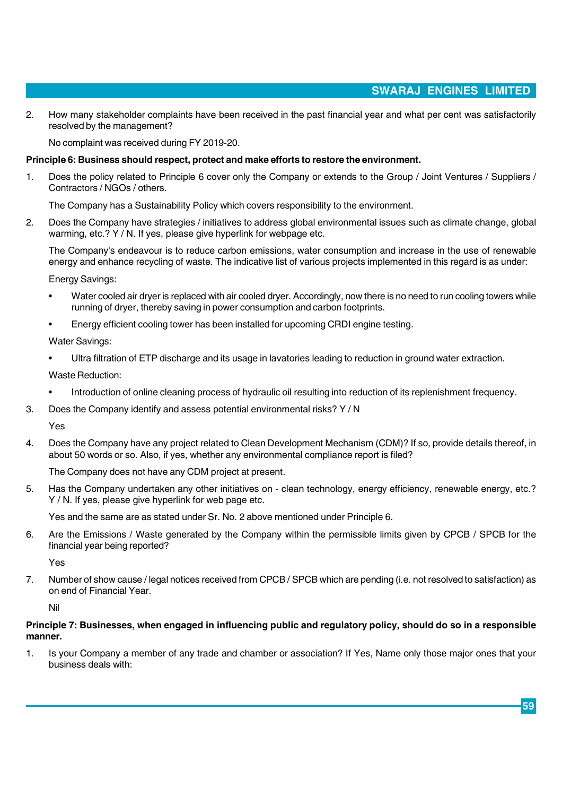**2. How many stakeholder complaints have been received in the past financial year and what per cent was satisfactorily resolved by the management?**

**No complaint was received during FY 2019-20.**

#### **Principle 6: Business should respect, protect and make efforts to restore the environment.**

**1. Does the policy related to Principle 6 cover only the Company or extends to the Group / Joint Ventures / Suppliers / Contractors / NGOs / others.**

**The Company has a Sustainability Policy which covers responsibility to the environment.**

**2. Does the Company have strategies / initiatives to address global environmental issues such as climate change, global warming, etc.? Y / N. If yes, please give hyperlink for webpage etc.**

**The Company's endeavour is to reduce carbon emissions, water consumption and increase in the use of renewable energy and enhance recycling of waste. The indicative list of various projects implemented in this regard is as under:**

**Energy Savings:**

- **• Water cooled air dryer is replaced with air cooled dryer. Accordingly, now there is no need to run cooling towers while running of dryer, thereby saving in power consumption and carbon footprints.**
- **• Energy efficient cooling tower has been installed for upcoming CRDI engine testing.**

**Water Savings:**

**• Ultra filtration of ETP discharge and its usage in lavatories leading to reduction in ground water extraction.**

**Waste Reduction:**

- **• Introduction of online cleaning process of hydraulic oil resulting into reduction of its replenishment frequency.**
- **3. Does the Company identify and assess potential environmental risks? Y / N**

**Yes**

**4. Does the Company have any project related to Clean Development Mechanism (CDM)? If so, provide details thereof, in about 50 words or so. Also, if yes, whether any environmental compliance report is filed?**

**The Company does not have any CDM project at present.**

**5. Has the Company undertaken any other initiatives on - clean technology, energy efficiency, renewable energy, etc.? Y / N. If yes, please give hyperlink for web page etc.**

**Yes and the same are as stated under Sr. No. 2 above mentioned under Principle 6.**

**6. Are the Emissions / Waste generated by the Company within the permissible limits given by CPCB / SPCB for the financial year being reported?**

**Yes**

**7. Number of show cause / legal notices received from CPCB / SPCB which are pending (i.e. not resolved to satisfaction) as on end of Financial Year.**

**Nil**

#### **Principle 7: Businesses, when engaged in influencing public and regulatory policy, should do so in a responsible manner.**

**1. Is your Company a member of any trade and chamber or association? If Yes, Name only those major ones that your business deals with:**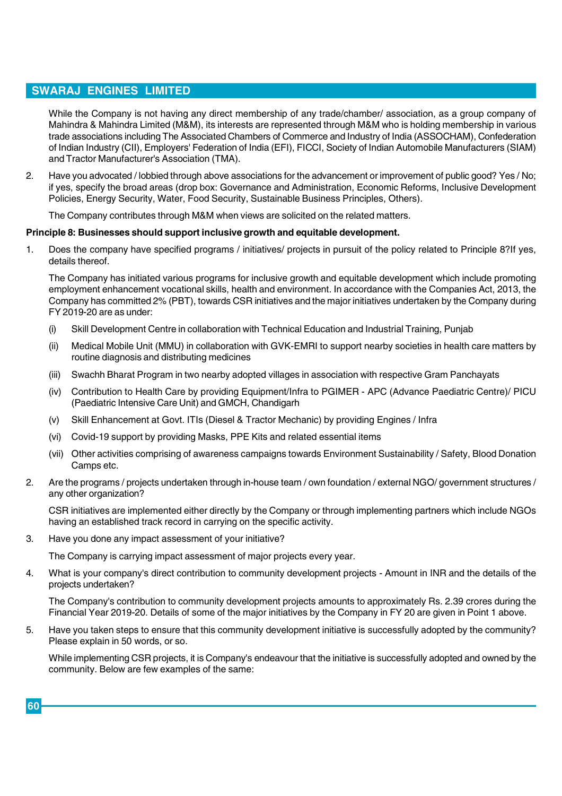**While the Company is not having any direct membership of any trade/chamber/ association, as a group company of Mahindra & Mahindra Limited (M&M), its interests are represented through M&M who is holding membership in various trade associations including The Associated Chambers of Commerce and Industry of India (ASSOCHAM), Confederation of Indian Industry (CII), Employers' Federation of India (EFI), FICCI, Society of Indian Automobile Manufacturers (SIAM) and Tractor Manufacturer's Association (TMA).**

**2. Have you advocated / lobbied through above associations for the advancement or improvement of public good? Yes / No; if yes, specify the broad areas (drop box: Governance and Administration, Economic Reforms, Inclusive Development Policies, Energy Security, Water, Food Security, Sustainable Business Principles, Others).**

**The Company contributes through M&M when views are solicited on the related matters.**

#### **Principle 8: Businesses should support inclusive growth and equitable development.**

**1. Does the company have specified programs / initiatives/ projects in pursuit of the policy related to Principle 8?If yes, details thereof.**

**The Company has initiated various programs for inclusive growth and equitable development which include promoting employment enhancement vocational skills, health and environment. In accordance with the Companies Act, 2013, the Company has committed 2% (PBT), towards CSR initiatives and the major initiatives undertaken by the Company during FY 2019-20 are as under:**

- **(i) Skill Development Centre in collaboration with Technical Education and Industrial Training, Punjab**
- **(ii) Medical Mobile Unit (MMU) in collaboration with GVK-EMRI to support nearby societies in health care matters by routine diagnosis and distributing medicines**
- **(iii) Swachh Bharat Program in two nearby adopted villages in association with respective Gram Panchayats**
- **(iv) Contribution to Health Care by providing Equipment/Infra to PGIMER APC (Advance Paediatric Centre)/ PICU (Paediatric Intensive Care Unit) and GMCH, Chandigarh**
- **(v) Skill Enhancement at Govt. ITIs (Diesel & Tractor Mechanic) by providing Engines / Infra**
- **(vi) Covid-19 support by providing Masks, PPE Kits and related essential items**
- **(vii) Other activities comprising of awareness campaigns towards Environment Sustainability / Safety, Blood Donation Camps etc.**
- **2. Are the programs / projects undertaken through in-house team / own foundation / external NGO/ government structures / any other organization?**

**CSR initiatives are implemented either directly by the Company or through implementing partners which include NGOs having an established track record in carrying on the specific activity.**

**3. Have you done any impact assessment of your initiative?**

**The Company is carrying impact assessment of major projects every year.**

**4. What is your company's direct contribution to community development projects - Amount in INR and the details of the projects undertaken?**

**The Company's contribution to community development projects amounts to approximately Rs. 2.39 crores during the Financial Year 2019-20. Details of some of the major initiatives by the Company in FY 20 are given in Point 1 above.**

**5. Have you taken steps to ensure that this community development initiative is successfully adopted by the community? Please explain in 50 words, or so.**

**While implementing CSR projects, it is Company's endeavour that the initiative is successfully adopted and owned by the community. Below are few examples of the same:**